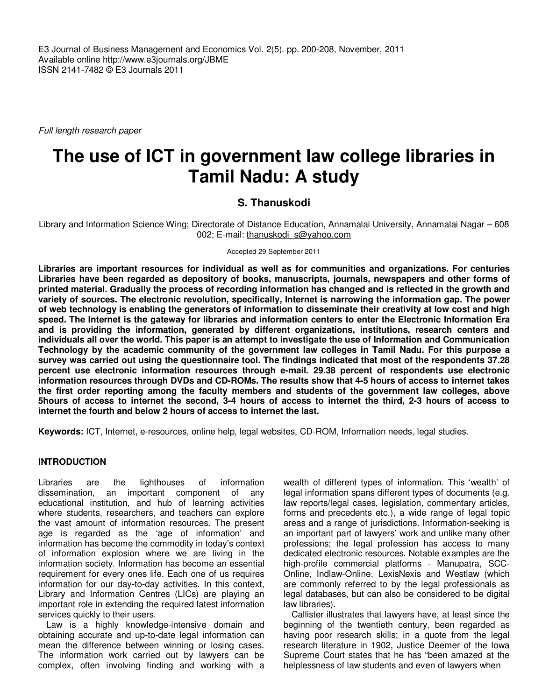E3 Journal of Business Management and Economics Vol. 2(5). pp. 200-208, November, 2011 Available online http://www.e3journals.org/JBME ISSN 2141-7482 © E3 Journals 2011

Full length research paper

# **The use of ICT in government law college libraries in Tamil Nadu: A study**

# **S. Thanuskodi**

Library and Information Science Wing; Directorate of Distance Education, Annamalai University, Annamalai Nagar – 608 002; E-mail: thanuskodi\_s@yahoo.com

Accepted 29 September 2011

**Libraries are important resources for individual as well as for communities and organizations. For centuries Libraries have been regarded as depository of books, manuscripts, journals, newspapers and other forms of printed material. Gradually the process of recording information has changed and is reflected in the growth and variety of sources. The electronic revolution, specifically, Internet is narrowing the information gap. The power of web technology is enabling the generators of information to disseminate their creativity at low cost and high speed. The Internet is the gateway for libraries and information centers to enter the Electronic Information Era and is providing the information, generated by different organizations, institutions, research centers and individuals all over the world. This paper is an attempt to investigate the use of Information and Communication Technology by the academic community of the government law colleges in Tamil Nadu. For this purpose a survey was carried out using the questionnaire tool. The findings indicated that most of the respondents 37.28 percent use electronic information resources through e-mail. 29.38 percent of respondents use electronic information resources through DVDs and CD-ROMs. The results show that 4-5 hours of access to internet takes the first order reporting among the faculty members and students of the government law colleges, above 5hours of access to internet the second, 3-4 hours of access to internet the third, 2-3 hours of access to internet the fourth and below 2 hours of access to internet the last.** 

**Keywords:** ICT, Internet, e-resources, online help, legal websites, CD-ROM, Information needs, legal studies.

## **INTRODUCTION**

Libraries are the lighthouses of information dissemination, an important component of any educational institution, and hub of learning activities where students, researchers, and teachers can explore the vast amount of information resources. The present age is regarded as the 'age of information' and information has become the commodity in today's context of information explosion where we are living in the information society. Information has become an essential requirement for every ones life. Each one of us requires information for our day-to-day activities. In this context, Library and Information Centres (LICs) are playing an important role in extending the required latest information services quickly to their users.

Law is a highly knowledge-intensive domain and obtaining accurate and up-to-date legal information can mean the difference between winning or losing cases. The information work carried out by lawyers can be complex, often involving finding and working with a

wealth of different types of information. This 'wealth' of legal information spans different types of documents (e.g. law reports/legal cases, legislation, commentary articles, forms and precedents etc.), a wide range of legal topic areas and a range of jurisdictions. Information-seeking is an important part of lawyers' work and unlike many other professions; the legal profession has access to many dedicated electronic resources. Notable examples are the high-profile commercial platforms - Manupatra, SCC-Online, Indlaw-Online, LexisNexis and Westlaw (which are commonly referred to by the legal professionals as legal databases, but can also be considered to be digital law libraries).

Callister illustrates that lawyers have, at least since the beginning of the twentieth century, been regarded as having poor research skills; in a quote from the legal research literature in 1902, Justice Deemer of the Iowa Supreme Court states that he has "been amazed at the helplessness of law students and even of lawyers when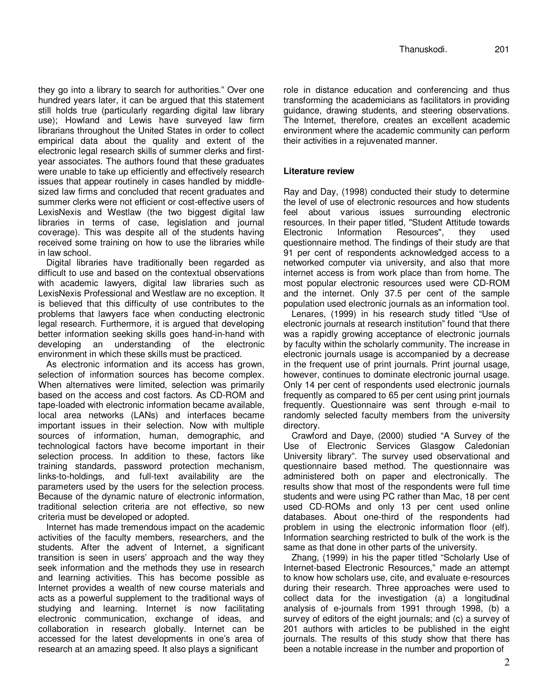they go into a library to search for authorities." Over one hundred years later, it can be argued that this statement still holds true (particularly regarding digital law library use); Howland and Lewis have surveyed law firm librarians throughout the United States in order to collect empirical data about the quality and extent of the electronic legal research skills of summer clerks and firstyear associates. The authors found that these graduates were unable to take up efficiently and effectively research issues that appear routinely in cases handled by middlesized law firms and concluded that recent graduates and summer clerks were not efficient or cost-effective users of LexisNexis and Westlaw (the two biggest digital law libraries in terms of case, legislation and journal coverage). This was despite all of the students having received some training on how to use the libraries while in law school.

Digital libraries have traditionally been regarded as difficult to use and based on the contextual observations with academic lawyers, digital law libraries such as LexisNexis Professional and Westlaw are no exception. It is believed that this difficulty of use contributes to the problems that lawyers face when conducting electronic legal research. Furthermore, it is argued that developing better information seeking skills goes hand-in-hand with developing an understanding of the electronic environment in which these skills must be practiced.

As electronic information and its access has grown, selection of information sources has become complex. When alternatives were limited, selection was primarily based on the access and cost factors. As CD-ROM and tape-loaded with electronic information became available, local area networks (LANs) and interfaces became important issues in their selection. Now with multiple sources of information, human, demographic, and technological factors have become important in their selection process. In addition to these, factors like training standards, password protection mechanism, links-to-holdings, and full-text availability are the parameters used by the users for the selection process. Because of the dynamic nature of electronic information, traditional selection criteria are not effective, so new criteria must be developed or adopted.

Internet has made tremendous impact on the academic activities of the faculty members, researchers, and the students. After the advent of Internet, a significant transition is seen in users' approach and the way they seek information and the methods they use in research and learning activities. This has become possible as Internet provides a wealth of new course materials and acts as a powerful supplement to the traditional ways of studying and learning. Internet is now facilitating electronic communication, exchange of ideas, and collaboration in research globally. Internet can be accessed for the latest developments in one's area of research at an amazing speed. It also plays a significant

role in distance education and conferencing and thus transforming the academicians as facilitators in providing guidance, drawing students, and steering observations. The Internet, therefore, creates an excellent academic environment where the academic community can perform their activities in a rejuvenated manner.

## **Literature review**

Ray and Day, (1998) conducted their study to determine the level of use of electronic resources and how students feel about various issues surrounding electronic resources. In their paper titled, "Student Attitude towards Electronic Information Resources", they used questionnaire method. The findings of their study are that 91 per cent of respondents acknowledged access to a networked computer via university, and also that more internet access is from work place than from home. The most popular electronic resources used were CD-ROM and the internet. Only 37.5 per cent of the sample population used electronic journals as an information tool.

Lenares, (1999) in his research study titled "Use of electronic journals at research institution" found that there was a rapidly growing acceptance of electronic journals by faculty within the scholarly community. The increase in electronic journals usage is accompanied by a decrease in the frequent use of print journals. Print journal usage, however, continues to dominate electronic journal usage. Only 14 per cent of respondents used electronic journals frequently as compared to 65 per cent using print journals frequently. Questionnaire was sent through e-mail to randomly selected faculty members from the university directory.

Crawford and Daye, (2000) studied "A Survey of the Use of Electronic Services Glasgow Caledonian University library". The survey used observational and questionnaire based method. The questionnaire was administered both on paper and electronically. The results show that most of the respondents were full time students and were using PC rather than Mac, 18 per cent used CD-ROMs and only 13 per cent used online databases. About one-third of the respondents had problem in using the electronic information floor (elf). Information searching restricted to bulk of the work is the same as that done in other parts of the university.

Zhang, (1999) in his the paper titled "Scholarly Use of Internet-based Electronic Resources," made an attempt to know how scholars use, cite, and evaluate e-resources during their research. Three approaches were used to collect data for the investigation (a) a longitudinal analysis of e-journals from 1991 through 1998, (b) a survey of editors of the eight journals; and (c) a survey of 201 authors with articles to be published in the eight journals. The results of this study show that there has been a notable increase in the number and proportion of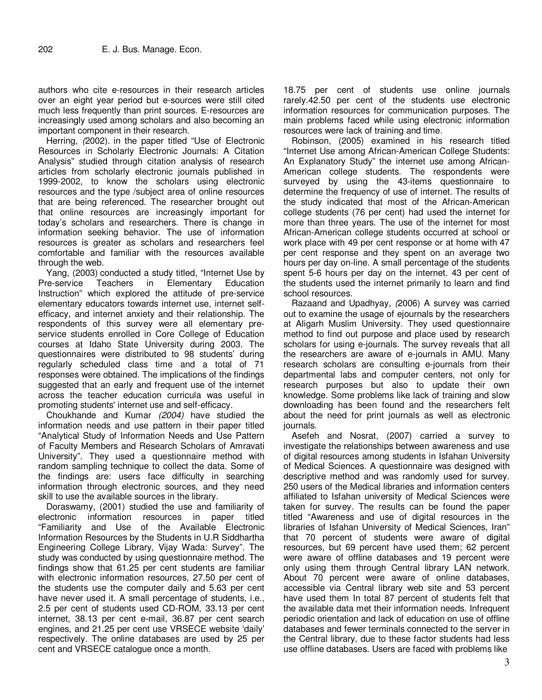authors who cite e-resources in their research articles over an eight year period but e-sources were still cited much less frequently than print sources. E-resources are increasingly used among scholars and also becoming an important component in their research.

Herring, (2002). in the paper titled "Use of Electronic Resources in Scholarly Electronic Journals: A Citation Analysis" studied through citation analysis of research articles from scholarly electronic journals published in 1999-2002, to know the scholars using electronic resources and the type /subject area of online resources that are being referenced. The researcher brought out that online resources are increasingly important for today's scholars and researchers. There is change in information seeking behavior. The use of information resources is greater as scholars and researchers feel comfortable and familiar with the resources available through the web.

Yang, (2003) conducted a study titled, "Internet Use by Pre-service Teachers in Elementary Education Instruction" which explored the attitude of pre-service elementary educators towards internet use, internet selfefficacy, and internet anxiety and their relationship. The respondents of this survey were all elementary preservice students enrolled in Core College of Education courses at Idaho State University during 2003. The questionnaires were distributed to 98 students' during regularly scheduled class time and a total of 71 responses were obtained. The implications of the findings suggested that an early and frequent use of the internet across the teacher education curricula was useful in promoting students' internet use and self-efficacy.

Choukhande and Kumar (2004) have studied the information needs and use pattern in their paper titled "Analytical Study of Information Needs and Use Pattern of Faculty Members and Research Scholars of Amravati University". They used a questionnaire method with random sampling technique to collect the data. Some of the findings are: users face difficulty in searching information through electronic sources, and they need skill to use the available sources in the library.

Doraswamy, (2001) studied the use and familiarity of electronic information resources in paper titled "Familiarity and Use of the Available Electronic Information Resources by the Students in U.R Siddhartha Engineering College Library, Vijay Wada: Survey". The study was conducted by using questionnaire method. The findings show that 61.25 per cent students are familiar with electronic information resources, 27.50 per cent of the students use the computer daily and 5.63 per cent have never used it. A small percentage of students, i.e., 2.5 per cent of students used CD-ROM, 33.13 per cent internet, 38.13 per cent e-mail, 36.87 per cent search engines, and 21.25 per cent use VRSECE website 'daily' respectively. The online databases are used by 25 per cent and VRSECE catalogue once a month.

18.75 per cent of students use online journals rarely.42.50 per cent of the students use electronic information resources for communication purposes. The main problems faced while using electronic information resources were lack of training and time.

Robinson, (2005) examined in his research titled "Internet Use among African-American College Students: An Explanatory Study" the internet use among African-American college students. The respondents were surveyed by using the 43-items questionnaire to determine the frequency of use of internet. The results of the study indicated that most of the African-American college students (76 per cent) had used the internet for more than three years. The use of the internet for most African-American college students occurred at school or work place with 49 per cent response or at home with 47 per cent response and they spent on an average two hours per day on-line. A small percentage of the students spent 5-6 hours per day on the internet. 43 per cent of the students used the internet primarily to learn and find school resources.

Razaand and Upadhyay, (2006) A survey was carried out to examine the usage of ejournals by the researchers at Aligarh Muslim University. They used questionnaire method to find out purpose and place used by research scholars for using e-journals. The survey reveals that all the researchers are aware of e-journals in AMU. Many research scholars are consulting e-journals from their departmental labs and computer centers, not only for research purposes but also to update their own knowledge. Some problems like lack of training and slow downloading has been found and the researchers felt about the need for print journals as well as electronic journals.

Asefeh and Nosrat, (2007) carried a survey to investigate the relationships between awareness and use of digital resources among students in Isfahan University of Medical Sciences. A questionnaire was designed with descriptive method and was randomly used for survey. 250 users of the Medical libraries and information centers affiliated to Isfahan university of Medical Sciences were taken for survey. The results can be found the paper titled "Awareness and use of digital resources in the libraries of Isfahan University of Medical Sciences, Iran" that 70 percent of students were aware of digital resources, but 69 percent have used them; 62 percent were aware of offline databases and 19 percent were only using them through Central library LAN network. About 70 percent were aware of online databases, accessible via Central library web site and 53 percent have used them In total 87 percent of students felt that the available data met their information needs. Infrequent periodic orientation and lack of education on use of offline databases and fewer terminals connected to the server in the Central library, due to these factor students had less use offline databases. Users are faced with problems like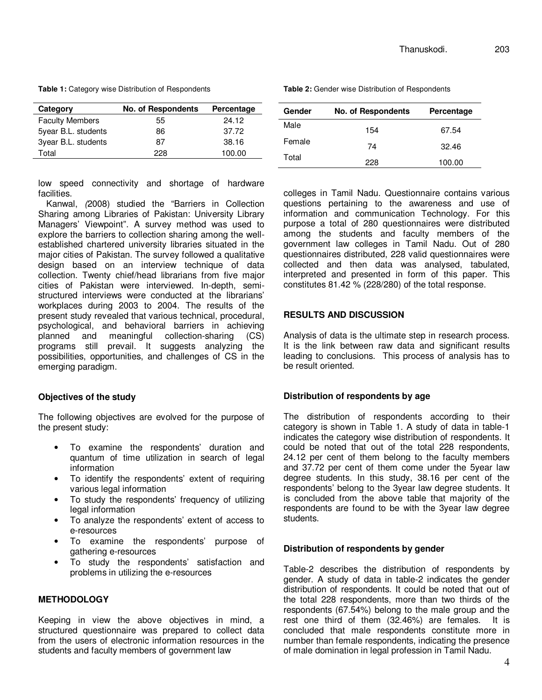**Table 1:** Category wise Distribution of Respondents

| Category               | No. of Respondents | Percentage |
|------------------------|--------------------|------------|
| <b>Faculty Members</b> | 55                 | 24.12      |
| 5year B.L. students    | 86                 | 37.72      |
| 3year B.L. students    | 87                 | 38.16      |
| Total                  | 228                | 100.00     |

low speed connectivity and shortage of hardware facilities.

Kanwal, (2008) studied the "Barriers in Collection Sharing among Libraries of Pakistan: University Library Managers' Viewpoint". A survey method was used to explore the barriers to collection sharing among the wellestablished chartered university libraries situated in the major cities of Pakistan. The survey followed a qualitative design based on an interview technique of data collection. Twenty chief/head librarians from five major cities of Pakistan were interviewed. In-depth, semistructured interviews were conducted at the librarians' workplaces during 2003 to 2004. The results of the present study revealed that various technical, procedural, psychological, and behavioral barriers in achieving planned and meaningful collection-sharing (CS) programs still prevail. It suggests analyzing the possibilities, opportunities, and challenges of CS in the emerging paradigm.

## **Objectives of the study**

The following objectives are evolved for the purpose of the present study:

- To examine the respondents' duration and quantum of time utilization in search of legal information
- To identify the respondents' extent of requiring various legal information
- To study the respondents' frequency of utilizing legal information
- To analyze the respondents' extent of access to e-resources
- To examine the respondents' purpose of gathering e-resources
- To study the respondents' satisfaction and problems in utilizing the e-resources

## **METHODOLOGY**

Keeping in view the above objectives in mind, a structured questionnaire was prepared to collect data from the users of electronic information resources in the students and faculty members of government law

| Gender | No. of Respondents | Percentage |
|--------|--------------------|------------|
| Male   | 154                | 67.54      |
| Female | 74                 | 32.46      |
| Total  | 228                | 100.00     |

**Table 2:** Gender wise Distribution of Respondents

colleges in Tamil Nadu. Questionnaire contains various questions pertaining to the awareness and use of information and communication Technology. For this purpose a total of 280 questionnaires were distributed among the students and faculty members of the government law colleges in Tamil Nadu. Out of 280 questionnaires distributed, 228 valid questionnaires were collected and then data was analysed, tabulated, interpreted and presented in form of this paper. This constitutes 81.42 % (228/280) of the total response.

## **RESULTS AND DISCUSSION**

Analysis of data is the ultimate step in research process. It is the link between raw data and significant results leading to conclusions. This process of analysis has to be result oriented.

## **Distribution of respondents by age**

The distribution of respondents according to their category is shown in Table 1. A study of data in table-1 indicates the category wise distribution of respondents. It could be noted that out of the total 228 respondents, 24.12 per cent of them belong to the faculty members and 37.72 per cent of them come under the 5year law degree students. In this study, 38.16 per cent of the respondents' belong to the 3year law degree students. It is concluded from the above table that majority of the respondents are found to be with the 3year law degree students.

## **Distribution of respondents by gender**

Table-2 describes the distribution of respondents by gender. A study of data in table-2 indicates the gender distribution of respondents. It could be noted that out of the total 228 respondents, more than two thirds of the respondents (67.54%) belong to the male group and the rest one third of them (32.46%) are females. It is concluded that male respondents constitute more in number than female respondents, indicating the presence of male domination in legal profession in Tamil Nadu.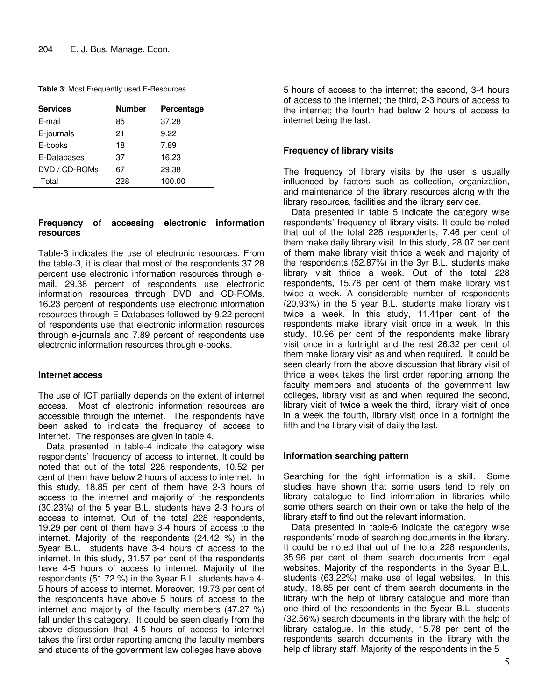**Table 3**: Most Frequently used E-Resources

| <b>Services</b> | <b>Number</b> | Percentage |
|-----------------|---------------|------------|
| E-mail          | 85            | 37.28      |
| E-journals      | 21            | 9.22       |
| E-books         | 18            | 7.89       |
| E-Databases     | 37            | 16.23      |
| DVD / CD-ROMs   | 67            | 29.38      |
| Total           | 228           | 100.00     |

## **Frequency of accessing electronic information resources**

Table-3 indicates the use of electronic resources. From the table-3, it is clear that most of the respondents 37.28 percent use electronic information resources through email. 29.38 percent of respondents use electronic information resources through DVD and CD-ROMs. 16.23 percent of respondents use electronic information resources through E-Databases followed by 9.22 percent of respondents use that electronic information resources through e-journals and 7.89 percent of respondents use electronic information resources through e-books.

## **Internet access**

The use of ICT partially depends on the extent of internet access. Most of electronic information resources are accessible through the internet. The respondents have been asked to indicate the frequency of access to Internet. The responses are given in table 4.

Data presented in table-4 indicate the category wise respondents' frequency of access to internet. It could be noted that out of the total 228 respondents, 10.52 per cent of them have below 2 hours of access to internet. In this study, 18.85 per cent of them have 2-3 hours of access to the internet and majority of the respondents (30.23%) of the 5 year B.L. students have 2-3 hours of access to internet. Out of the total 228 respondents, 19.29 per cent of them have 3-4 hours of access to the internet. Majority of the respondents (24.42 %) in the 5year B.L. students have 3-4 hours of access to the internet. In this study, 31.57 per cent of the respondents have 4-5 hours of access to internet. Majority of the respondents (51.72 %) in the 3year B.L. students have 4- 5 hours of access to internet. Moreover, 19.73 per cent of the respondents have above 5 hours of access to the internet and majority of the faculty members (47.27 %) fall under this category. It could be seen clearly from the above discussion that 4-5 hours of access to internet takes the first order reporting among the faculty members and students of the government law colleges have above

5 hours of access to the internet; the second, 3-4 hours of access to the internet; the third, 2-3 hours of access to the internet; the fourth had below 2 hours of access to internet being the last.

## **Frequency of library visits**

The frequency of library visits by the user is usually influenced by factors such as collection, organization, and maintenance of the library resources along with the library resources, facilities and the library services.

Data presented in table 5 indicate the category wise respondents' frequency of library visits. It could be noted that out of the total 228 respondents, 7.46 per cent of them make daily library visit. In this study, 28.07 per cent of them make library visit thrice a week and majority of the respondents (52.87%) in the 3yr B.L. students make library visit thrice a week. Out of the total 228 respondents, 15.78 per cent of them make library visit twice a week. A considerable number of respondents (20.93%) in the 5 year B.L. students make library visit twice a week. In this study, 11.41per cent of the respondents make library visit once in a week. In this study, 10.96 per cent of the respondents make library visit once in a fortnight and the rest 26.32 per cent of them make library visit as and when required. It could be seen clearly from the above discussion that library visit of thrice a week takes the first order reporting among the faculty members and students of the government law colleges, library visit as and when required the second, library visit of twice a week the third, library visit of once in a week the fourth, library visit once in a fortnight the fifth and the library visit of daily the last.

## **Information searching pattern**

Searching for the right information is a skill. Some studies have shown that some users tend to rely on library catalogue to find information in libraries while some others search on their own or take the help of the library staff to find out the relevant information.

Data presented in table-6 indicate the category wise respondents' mode of searching documents in the library. It could be noted that out of the total 228 respondents, 35.96 per cent of them search documents from legal websites. Majority of the respondents in the 3year B.L. students (63.22%) make use of legal websites. In this study, 18.85 per cent of them search documents in the library with the help of library catalogue and more than one third of the respondents in the 5year B.L. students (32.56%) search documents in the library with the help of library catalogue. In this study, 15.78 per cent of the respondents search documents in the library with the help of library staff. Majority of the respondents in the 5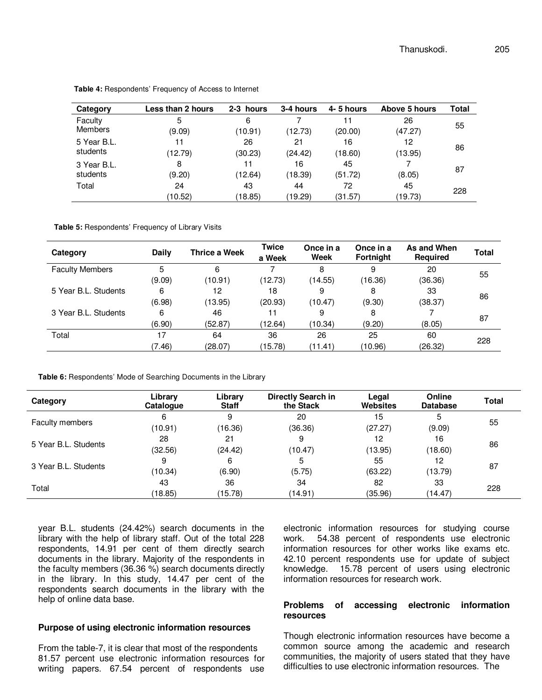| Category    | Less than 2 hours | 2-3 hours | 3-4 hours | 4-5 hours | Above 5 hours | Total |
|-------------|-------------------|-----------|-----------|-----------|---------------|-------|
| Faculty     | 5                 | 6         |           | 11        | 26            | 55    |
| Members     | (9.09)            | (10.91)   | (12.73)   | (20.00)   | (47.27)       |       |
| 5 Year B.L. | 11                | 26        | 21        | 16        | 12            | 86    |
| students    | (12.79)           | (30.23)   | (24.42)   | (18.60)   | (13.95)       |       |
| 3 Year B.L. | 8                 | 11        | 16        | 45        |               | 87    |
| students    | (9.20)            | (12.64)   | (18.39)   | (51.72)   | (8.05)        |       |
| Total       | 24                | 43        | 44        | 72        | 45            | 228   |
|             | (10.52)           | (18.85)   | (19.29)   | (31.57)   | (19.73)       |       |

**Table 4:** Respondents' Frequency of Access to Internet

**Table 5:** Respondents' Frequency of Library Visits

| Category               | Daily  | Thrice a Week | <b>Twice</b><br>a Week | Once in a<br>Week | Once in a<br><b>Fortnight</b> | As and When<br><b>Required</b> | <b>Total</b> |
|------------------------|--------|---------------|------------------------|-------------------|-------------------------------|--------------------------------|--------------|
| <b>Faculty Members</b> | 5      | 6             |                        | 8                 | 9                             | 20                             | 55           |
|                        | (9.09) | (10.91)       | (12.73)                | (14.55)           | (16.36)                       | (36.36)                        |              |
| 5 Year B.L. Students   | 6      | 12            | 18                     | 9                 | 8                             | 33                             |              |
|                        | (6.98) | (13.95)       | (20.93)                | (10.47)           | (9.30)                        | (38.37)                        | 86           |
| 3 Year B.L. Students   | 6      | 46            | 11                     | 9                 | 8                             |                                |              |
|                        | (6.90) | (52.87)       | (12.64)                | (10.34)           | (9.20)                        | (8.05)                         | 87           |
| Total                  | 17     | 64            | 36                     | 26                | 25                            | 60                             |              |
|                        | (7.46) | (28.07)       | (15.78)                | (11.41)           | (10.96)                       | (26.32)                        | 228          |

**Table 6:** Respondents' Mode of Searching Documents in the Library

| Category               | Library<br>Catalogue | Library<br><b>Staff</b> | Directly Search in<br>the Stack | Legal<br><b>Websites</b> | Online<br><b>Database</b> | <b>Total</b> |
|------------------------|----------------------|-------------------------|---------------------------------|--------------------------|---------------------------|--------------|
| <b>Faculty members</b> | 6<br>(10.91)         | 9<br>(16.36)            | 20<br>(36.36)                   | 15<br>(27.27)            | 5<br>(9.09)               | 55           |
| 5 Year B.L. Students   | 28<br>(32.56)        | 21<br>(24.42)           | 9<br>(10.47)                    | 12<br>(13.95)            | 16<br>(18.60)             | 86           |
| 3 Year B.L. Students   | 9<br>(10.34)         | 6<br>(6.90)             | 5<br>(5.75)                     | 55<br>(63.22)            | 12<br>(13.79)             | 87           |
| Total                  | 43<br>(18.85)        | 36<br>(15.78)           | 34<br>(14.91)                   | 82<br>(35.96)            | 33<br>(14.47)             | 228          |

year B.L. students (24.42%) search documents in the library with the help of library staff. Out of the total 228 respondents, 14.91 per cent of them directly search documents in the library. Majority of the respondents in the faculty members (36.36 %) search documents directly in the library. In this study, 14.47 per cent of the respondents search documents in the library with the help of online data base.

#### **Purpose of using electronic information resources**

From the table-7, it is clear that most of the respondents 81.57 percent use electronic information resources for writing papers. 67.54 percent of respondents use

electronic information resources for studying course work. 54.38 percent of respondents use electronic information resources for other works like exams etc. 42.10 percent respondents use for update of subject knowledge. 15.78 percent of users using electronic information resources for research work.

#### **Problems of accessing electronic information resources**

Though electronic information resources have become a common source among the academic and research communities, the majority of users stated that they have difficulties to use electronic information resources. The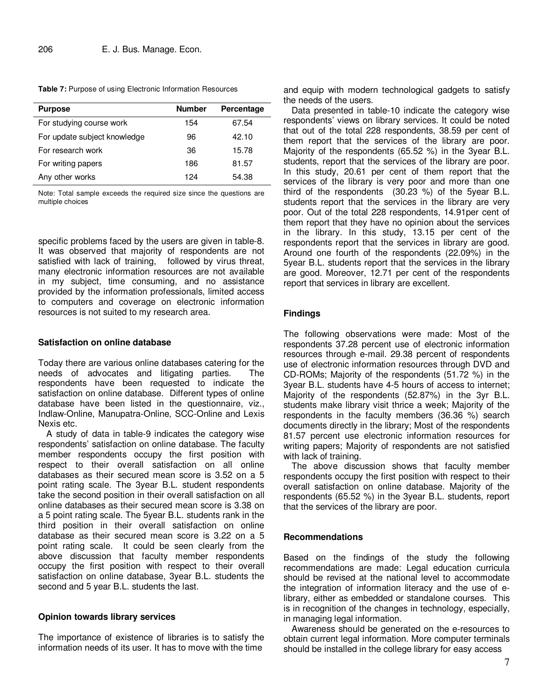**Table 7:** Purpose of using Electronic Information Resources

| <b>Purpose</b>               | <b>Number</b> | Percentage |
|------------------------------|---------------|------------|
| For studying course work     | 154           | 67.54      |
| For update subject knowledge | 96            | 42.10      |
| For research work            | 36            | 15.78      |
| For writing papers           | 186           | 81.57      |
| Any other works              | 124           | 54.38      |

Note: Total sample exceeds the required size since the questions are multiple choices

specific problems faced by the users are given in table-8. It was observed that majority of respondents are not satisfied with lack of training, followed by virus threat, many electronic information resources are not available in my subject, time consuming, and no assistance provided by the information professionals, limited access to computers and coverage on electronic information resources is not suited to my research area.

#### **Satisfaction on online database**

Today there are various online databases catering for the needs of advocates and litigating parties. The respondents have been requested to indicate the satisfaction on online database. Different types of online database have been listed in the questionnaire, viz., Indlaw-Online, Manupatra-Online, SCC-Online and Lexis Nexis etc.

A study of data in table-9 indicates the category wise respondents' satisfaction on online database. The faculty member respondents occupy the first position with respect to their overall satisfaction on all online databases as their secured mean score is 3.52 on a 5 point rating scale. The 3year B.L. student respondents take the second position in their overall satisfaction on all online databases as their secured mean score is 3.38 on a 5 point rating scale. The 5year B.L. students rank in the third position in their overall satisfaction on online database as their secured mean score is 3.22 on a 5 point rating scale. It could be seen clearly from the above discussion that faculty member respondents occupy the first position with respect to their overall satisfaction on online database, 3year B.L. students the second and 5 year B.L. students the last.

## **Opinion towards library services**

The importance of existence of libraries is to satisfy the information needs of its user. It has to move with the time

and equip with modern technological gadgets to satisfy the needs of the users.

Data presented in table-10 indicate the category wise respondents' views on library services. It could be noted that out of the total 228 respondents, 38.59 per cent of them report that the services of the library are poor. Majority of the respondents (65.52 %) in the 3year B.L. students, report that the services of the library are poor. In this study, 20.61 per cent of them report that the services of the library is very poor and more than one third of the respondents (30.23 %) of the 5year B.L. students report that the services in the library are very poor. Out of the total 228 respondents, 14.91per cent of them report that they have no opinion about the services in the library. In this study, 13.15 per cent of the respondents report that the services in library are good. Around one fourth of the respondents (22.09%) in the 5year B.L. students report that the services in the library are good. Moreover, 12.71 per cent of the respondents report that services in library are excellent.

## **Findings**

The following observations were made: Most of the respondents 37.28 percent use of electronic information resources through e-mail. 29.38 percent of respondents use of electronic information resources through DVD and CD-ROMs; Majority of the respondents (51.72 %) in the 3year B.L. students have 4-5 hours of access to internet; Majority of the respondents (52.87%) in the 3yr B.L. students make library visit thrice a week; Majority of the respondents in the faculty members (36.36 %) search documents directly in the library; Most of the respondents 81.57 percent use electronic information resources for writing papers; Majority of respondents are not satisfied with lack of training.

The above discussion shows that faculty member respondents occupy the first position with respect to their overall satisfaction on online database. Majority of the respondents (65.52 %) in the 3year B.L. students, report that the services of the library are poor.

## **Recommendations**

Based on the findings of the study the following recommendations are made: Legal education curricula should be revised at the national level to accommodate the integration of information literacy and the use of elibrary, either as embedded or standalone courses. This is in recognition of the changes in technology, especially, in managing legal information.

Awareness should be generated on the e-resources to obtain current legal information. More computer terminals should be installed in the college library for easy access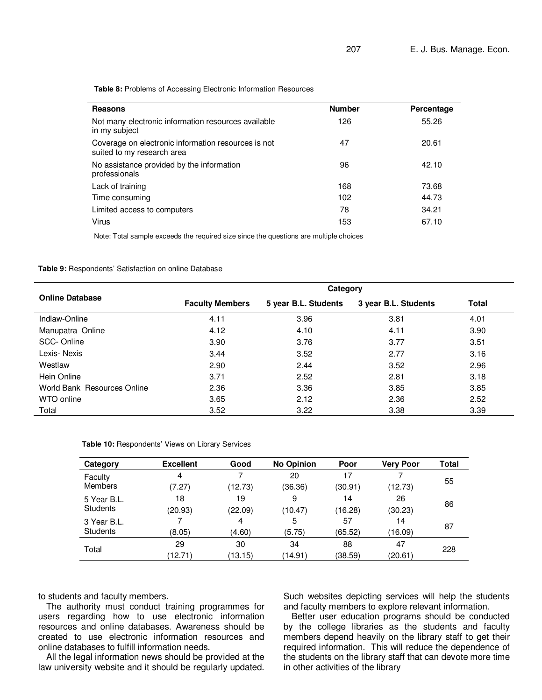**Table 8:** Problems of Accessing Electronic Information Resources

| <b>Reasons</b>                                                                    | <b>Number</b> | Percentage |
|-----------------------------------------------------------------------------------|---------------|------------|
| Not many electronic information resources available<br>in my subject              | 126           | 55.26      |
| Coverage on electronic information resources is not<br>suited to my research area | 47            | 20.61      |
| No assistance provided by the information<br>professionals                        | 96            | 42.10      |
| Lack of training                                                                  | 168           | 73.68      |
| Time consuming                                                                    | 102           | 44.73      |
| Limited access to computers                                                       | 78            | 34.21      |
| Virus                                                                             | 153           | 67.10      |

Note: Total sample exceeds the required size since the questions are multiple choices

#### **Table 9:** Respondents' Satisfaction on online Database

|                             | Category               |                      |                      |       |  |  |  |
|-----------------------------|------------------------|----------------------|----------------------|-------|--|--|--|
| <b>Online Database</b>      | <b>Faculty Members</b> | 5 year B.L. Students | 3 year B.L. Students | Total |  |  |  |
| Indlaw-Online               | 4.11                   | 3.96                 | 3.81                 | 4.01  |  |  |  |
| Manupatra Online            | 4.12                   | 4.10                 | 4.11                 | 3.90  |  |  |  |
| SCC-Online                  | 3.90                   | 3.76                 | 3.77                 | 3.51  |  |  |  |
| Lexis-Nexis                 | 3.44                   | 3.52                 | 2.77                 | 3.16  |  |  |  |
| Westlaw                     | 2.90                   | 2.44                 | 3.52                 | 2.96  |  |  |  |
| Hein Online                 | 3.71                   | 2.52                 | 2.81                 | 3.18  |  |  |  |
| World Bank Resources Online | 2.36                   | 3.36                 | 3.85                 | 3.85  |  |  |  |
| WTO online                  | 3.65                   | 2.12                 | 2.36                 | 2.52  |  |  |  |
| Total                       | 3.52                   | 3.22                 | 3.38                 | 3.39  |  |  |  |

| Table 10: Respondents' Views on Library Services |  |  |  |  |
|--------------------------------------------------|--|--|--|--|
|--------------------------------------------------|--|--|--|--|

| Category        | <b>Excellent</b> | Good    | <b>No Opinion</b> | Poor    | <b>Very Poor</b> | <b>Total</b> |
|-----------------|------------------|---------|-------------------|---------|------------------|--------------|
| Faculty         | 4                | 7       | 20                | 17      |                  | 55           |
| <b>Members</b>  | (7.27)           | (12.73) | (36.36)           | (30.91) | (12.73)          |              |
| 5 Year B.L.     | 18               | 19      | 9                 | 14      | 26               |              |
| <b>Students</b> | (20.93)          | (22.09) | (10.47)           | (16.28) | (30.23)          | 86           |
| 3 Year B.L.     |                  | 4       | 5                 | 57      | 14               | 87           |
| <b>Students</b> | (8.05)           | (4.60)  | (5.75)            | (65.52) | (16.09)          |              |
| Total           | 29               | 30      | 34                | 88      | 47               |              |
|                 | (12.71)          | (13.15) | (14.91)           | (38.59) | (20.61)          | 228          |

to students and faculty members.

The authority must conduct training programmes for users regarding how to use electronic information resources and online databases. Awareness should be created to use electronic information resources and online databases to fulfill information needs.

All the legal information news should be provided at the law university website and it should be regularly updated. Such websites depicting services will help the students and faculty members to explore relevant information.

Better user education programs should be conducted by the college libraries as the students and faculty members depend heavily on the library staff to get their required information. This will reduce the dependence of the students on the library staff that can devote more time in other activities of the library